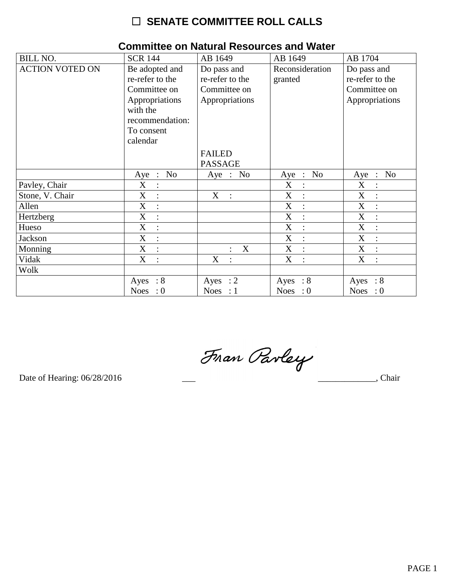| <b>BILL NO.</b>        | <b>SCR 144</b>                                                                                                               | AB 1649                                                          | AB 1649                    | AB 1704                                                          |
|------------------------|------------------------------------------------------------------------------------------------------------------------------|------------------------------------------------------------------|----------------------------|------------------------------------------------------------------|
| <b>ACTION VOTED ON</b> | Be adopted and<br>re-refer to the<br>Committee on<br>Appropriations<br>with the<br>recommendation:<br>To consent<br>calendar | Do pass and<br>re-refer to the<br>Committee on<br>Appropriations | Reconsideration<br>granted | Do pass and<br>re-refer to the<br>Committee on<br>Appropriations |
|                        |                                                                                                                              | <b>FAILED</b><br><b>PASSAGE</b>                                  |                            |                                                                  |
|                        | No<br>$Aye$ :                                                                                                                | Aye : No                                                         | Aye : No                   | Aye : No                                                         |
| Pavley, Chair          | $\mathbf X$<br>$\vdots$                                                                                                      |                                                                  | X<br>$\ddot{\cdot}$        | X                                                                |
| Stone, V. Chair        | X<br>$\vdots$                                                                                                                | X<br>$\sim$ 1.                                                   | X<br>$\ddot{\cdot}$        | X<br>$\ddot{\cdot}$                                              |
| Allen                  | $X_{\mathcal{E}}$<br>$\therefore$                                                                                            |                                                                  | X<br>$\ddot{\cdot}$        | X<br>$\ddot{\cdot}$                                              |
| Hertzberg              | X<br>$\ddot{\cdot}$                                                                                                          |                                                                  | X<br>$\ddot{\cdot}$        | X                                                                |
| Hueso                  | X<br>$\ddot{\cdot}$                                                                                                          |                                                                  | X<br>$\ddot{\cdot}$        | $\boldsymbol{\mathrm{X}}$                                        |
| Jackson                | X<br>$\ddot{\cdot}$                                                                                                          |                                                                  | X<br>$\ddot{\cdot}$        | X<br>$\bullet$                                                   |
| Monning                | X<br>$\ddot{\cdot}$                                                                                                          | X                                                                | X<br>$\ddot{\phantom{a}}$  | X                                                                |
| Vidak                  | $X_{\mathcal{I}}$<br>$\ddot{\cdot}$                                                                                          | $X_{\mathcal{E}}$                                                | X<br>$\ddot{\cdot}$        | X                                                                |
| Wolk                   |                                                                                                                              |                                                                  |                            |                                                                  |
|                        | Ayes : $8$                                                                                                                   | Ayes : $2$                                                       | Ayes : $8$                 | Ayes : $8$                                                       |
|                        | Noes<br>$\cdot 0$                                                                                                            | Noes : $1$                                                       | Noes : $0$                 | Noes : $0$                                                       |

### **Committee on Natural Resources and Water**

Fran Parley

Date of Hearing: 06/28/2016

Chair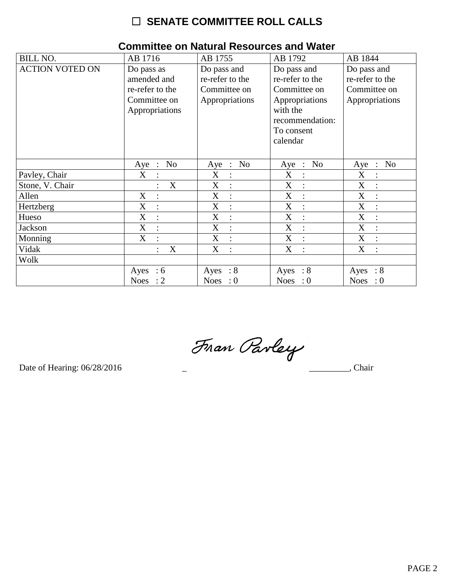| <b>BILL NO.</b>        | AB 1716                                                      | AB 1755                                                          | AB 1792                                                          | AB 1844                                                          |
|------------------------|--------------------------------------------------------------|------------------------------------------------------------------|------------------------------------------------------------------|------------------------------------------------------------------|
| <b>ACTION VOTED ON</b> | Do pass as<br>amended and<br>re-refer to the<br>Committee on | Do pass and<br>re-refer to the<br>Committee on<br>Appropriations | Do pass and<br>re-refer to the<br>Committee on<br>Appropriations | Do pass and<br>re-refer to the<br>Committee on<br>Appropriations |
|                        | Appropriations                                               |                                                                  | with the<br>recommendation:<br>To consent<br>calendar            |                                                                  |
|                        | N <sub>0</sub><br>Aye<br>$\therefore$                        | No<br>$Aye$ :                                                    | $\therefore$ No<br>Aye                                           | N <sub>o</sub><br>Aye<br>$\sim$ 10 $\,$                          |
| Pavley, Chair          | X<br>$\ddot{\cdot}$                                          | X                                                                | X<br>$\ddot{\cdot}$                                              | X                                                                |
| Stone, V. Chair        | X                                                            | X                                                                | X                                                                | X                                                                |
| Allen                  | X<br>$\vdots$                                                | X                                                                | $\boldsymbol{X}$<br>$\ddot{\cdot}$                               | X<br>$\ddot{\cdot}$                                              |
| Hertzberg              | $\boldsymbol{\mathrm{X}}$<br>$\ddot{\cdot}$                  | X<br>$\ddot{\cdot}$                                              | X<br>$\ddot{\cdot}$                                              | $\boldsymbol{\mathrm{X}}$<br>$\ddot{\cdot}$                      |
| Hueso                  | X                                                            | X                                                                | X                                                                | X                                                                |
| Jackson                | X<br>$\ddot{\cdot}$                                          | X<br>$\ddot{\cdot}$                                              | X<br>$\overline{\cdot}$                                          | X<br>$\ddot{\cdot}$                                              |
| Monning                | X<br>$\bullet$                                               | X<br>$\ddot{\cdot}$                                              | X<br>$\ddot{\cdot}$                                              | X<br>$\vdots$                                                    |
| Vidak                  | X                                                            | X                                                                | X<br>$\ddot{\cdot}$                                              | X                                                                |
| Wolk                   |                                                              |                                                                  |                                                                  |                                                                  |
|                        | $\therefore$ 6<br>Ayes                                       | Ayes : $8$                                                       | $\therefore 8$<br>Ayes                                           | $\therefore 8$<br>Ayes                                           |
|                        | Noes : $2$                                                   | Noes : $0$                                                       | Noes : $0$                                                       | <b>Noes</b><br>$\therefore 0$                                    |

### **Committee on Natural Resources and Water**

Fran Pavley

Date of Hearing: 06/28/2016

 $\overline{\phantom{a}}$ , Chair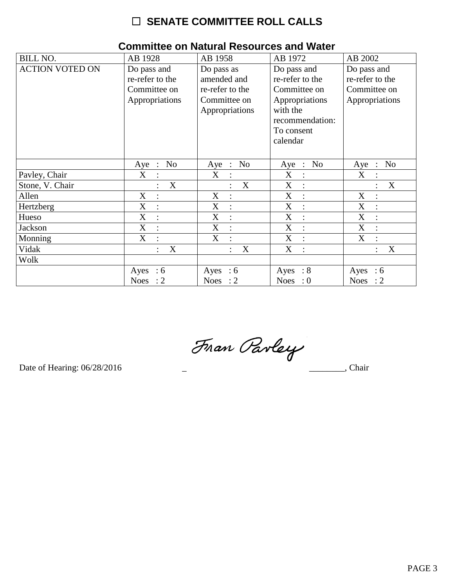| <b>BILL NO.</b>        | AB 1928                               | AB 1958             | AB 1972                       | AB 2002                               |
|------------------------|---------------------------------------|---------------------|-------------------------------|---------------------------------------|
| <b>ACTION VOTED ON</b> | Do pass and                           | Do pass as          | Do pass and                   | Do pass and                           |
|                        | re-refer to the                       | amended and         | re-refer to the               | re-refer to the                       |
|                        | Committee on                          | re-refer to the     | Committee on                  | Committee on                          |
|                        | Appropriations                        | Committee on        | Appropriations                | Appropriations                        |
|                        |                                       | Appropriations      | with the                      |                                       |
|                        |                                       |                     | recommendation:               |                                       |
|                        |                                       |                     | To consent                    |                                       |
|                        |                                       |                     | calendar                      |                                       |
|                        |                                       |                     |                               |                                       |
|                        | N <sub>o</sub><br>Aye<br>$\therefore$ | No<br>Aye :         | $\therefore$ No<br>Aye        | N <sub>o</sub><br>Aye<br>$\therefore$ |
| Pavley, Chair          | X                                     | X                   | X<br>$\ddot{\phantom{a}}$     | $\mathbf X$                           |
| Stone, V. Chair        | X                                     | X                   | X                             | X                                     |
| Allen                  | X<br>$\ddot{\cdot}$                   | X                   | X<br>$\ddot{\cdot}$           | X<br>$\ddot{\cdot}$                   |
| Hertzberg              | X<br>$\ddot{\cdot}$                   | X<br>$\ddot{\cdot}$ | X<br>$\ddot{\phantom{a}}$     | $\boldsymbol{\mathrm{X}}$             |
| Hueso                  | X<br>$\ddot{\cdot}$                   | X                   | X                             | X                                     |
| <b>Jackson</b>         | X<br>$\ddot{\cdot}$                   | X<br>$\ddot{\cdot}$ | X<br>$\ddot{\cdot}$           | X<br>$\ddot{\cdot}$                   |
| Monning                | X<br>$\ddot{\cdot}$                   | X<br>$\bullet$      | X<br>$\ddot{\cdot}$           | X<br>$\bullet$                        |
| Vidak                  | X<br>$\ddot{\cdot}$                   | X                   | X<br>$\ddot{\cdot}$           | X                                     |
| Wolk                   |                                       |                     |                               |                                       |
|                        | Ayes<br>:6                            | Ayes : $6$          | Ayes : $8$                    | Ayes<br>$\therefore$ 6                |
|                        | <b>Noes</b><br>$\colon$ 2             | Noes : $2$          | <b>Noes</b><br>$\therefore 0$ | <b>Noes</b><br>$\therefore$ 2         |

### **Committee on Natural Resources and Water**

Fran Parley

Date of Hearing: 06/28/2016

 $\overline{\phantom{a}}$ , Chair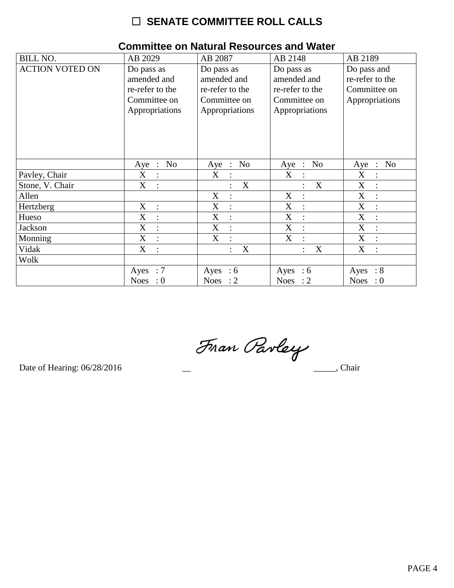| <b>BILL NO.</b>        | AB 2029                                                                        | AB 2087                                                                        | AB 2148                                                                        | AB 2189                                                          |
|------------------------|--------------------------------------------------------------------------------|--------------------------------------------------------------------------------|--------------------------------------------------------------------------------|------------------------------------------------------------------|
| <b>ACTION VOTED ON</b> | Do pass as<br>amended and<br>re-refer to the<br>Committee on<br>Appropriations | Do pass as<br>amended and<br>re-refer to the<br>Committee on<br>Appropriations | Do pass as<br>amended and<br>re-refer to the<br>Committee on<br>Appropriations | Do pass and<br>re-refer to the<br>Committee on<br>Appropriations |
|                        | No<br>$Aye$ :                                                                  | N <sub>o</sub><br>Aye :                                                        | Aye : No                                                                       | N <sub>o</sub><br>Aye<br>$\sim$                                  |
| Pavley, Chair          | X<br>$\therefore$                                                              | X<br>$\ddot{\cdot}$                                                            | X                                                                              | X<br>$\ddot{\cdot}$                                              |
| Stone, V. Chair        | X                                                                              | X                                                                              | X                                                                              | X                                                                |
| Allen                  |                                                                                | X<br>$\ddot{\cdot}$                                                            | X<br>$\ddot{\cdot}$                                                            | X<br>$\ddot{\cdot}$                                              |
| Hertzberg              | X<br>$\cdot$                                                                   | X<br>$\ddot{\cdot}$                                                            | X<br>$\ddot{\cdot}$                                                            | X<br>$\cdot$                                                     |
| Hueso                  | X<br>$\ddot{\cdot}$                                                            | X<br>$\ddot{\cdot}$                                                            | X<br>$\ddot{\cdot}$                                                            | X                                                                |
| Jackson                | X<br>$\therefore$                                                              | X<br>$\ddot{\cdot}$                                                            | X<br>$\mathbb{R}^2$                                                            | X<br>$\ddot{\cdot}$                                              |
| Monning                | X<br>$\ddot{\cdot}$                                                            | X<br>$\ddot{\cdot}$                                                            | X<br>$\ddot{\cdot}$                                                            | $\mathbf X$<br>$\ddot{\cdot}$                                    |
| Vidak                  | X                                                                              | X<br>$\ddot{\cdot}$                                                            | X                                                                              | X                                                                |
| Wolk                   |                                                                                |                                                                                |                                                                                |                                                                  |
|                        | Ayes : $7$                                                                     | Ayes : $6$                                                                     | Ayes : $6$                                                                     | Ayes<br>$\therefore 8$                                           |
|                        | <b>Noes</b><br>$\cdot 0$                                                       | Noes : $2$                                                                     | Noes : $2$                                                                     | <b>Noes</b><br>$\therefore 0$                                    |

### **Committee on Natural Resources and Water**

Fran Parley

Date of Hearing: 06/28/2016

 $\frac{1}{\sqrt{1-\frac{1}{2}}\sqrt{1-\frac{1}{2}}\sqrt{1-\frac{1}{2}}\sqrt{1-\frac{1}{2}}\sqrt{1-\frac{1}{2}}\sqrt{1-\frac{1}{2}}\sqrt{1-\frac{1}{2}}\sqrt{1-\frac{1}{2}}\sqrt{1-\frac{1}{2}}\sqrt{1-\frac{1}{2}}\sqrt{1-\frac{1}{2}}\sqrt{1-\frac{1}{2}}\sqrt{1-\frac{1}{2}}\sqrt{1-\frac{1}{2}}\sqrt{1-\frac{1}{2}}\sqrt{1-\frac{1}{2}}\sqrt{1-\frac{1}{2}}\sqrt{1-\frac{1}{2}}\sqrt{1-\frac{1}{2}}\sqrt{1-\frac$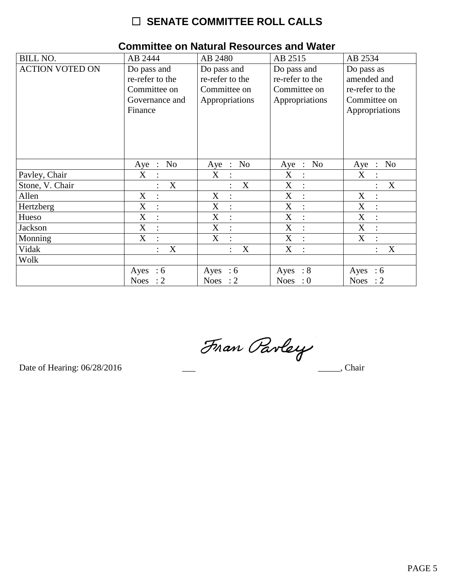| <b>BILL NO.</b>        | AB 2444                             | AB 2480                   | AB 2515                       | AB 2534                              |
|------------------------|-------------------------------------|---------------------------|-------------------------------|--------------------------------------|
| <b>ACTION VOTED ON</b> | Do pass and                         | Do pass and               | Do pass and                   | Do pass as                           |
|                        | re-refer to the                     | re-refer to the           | re-refer to the               | amended and                          |
|                        | Committee on                        | Committee on              | Committee on                  | re-refer to the                      |
|                        | Governance and                      | Appropriations            | Appropriations                | Committee on                         |
|                        | Finance                             |                           |                               | Appropriations                       |
|                        |                                     |                           |                               |                                      |
|                        |                                     |                           |                               |                                      |
|                        |                                     |                           |                               |                                      |
|                        |                                     |                           |                               |                                      |
|                        |                                     |                           |                               |                                      |
|                        | No<br>Aye<br>$\ddot{\phantom{1}}$ : | No<br>Aye<br>$\mathbb{R}$ | No<br>Aye<br>$\mathbb{R}^2$   | No<br>Aye<br>$\dddot{\phantom{1}}$ : |
| Pavley, Chair          | X                                   | X<br>$\ddot{\cdot}$       | X<br>$\ddot{\phantom{a}}$     | $\mathbf X$                          |
| Stone, V. Chair        | X                                   | X                         | X                             | X                                    |
| Allen                  | X<br>$\ddot{\cdot}$                 | X<br>$\ddot{\cdot}$       | X<br>$\ddot{\cdot}$           | X<br>$\vdots$                        |
| Hertzberg              | X<br>$\ddot{\cdot}$                 | X<br>$\ddot{\cdot}$       | X<br>$\ddot{\cdot}$           | X                                    |
| Hueso                  | X                                   | X                         | X                             | X                                    |
| Jackson                | X<br>$\ddot{\cdot}$                 | X<br>$\ddot{\cdot}$       | X<br>$\ddot{\cdot}$           | X<br>$\ddot{\cdot}$                  |
| Monning                | X<br>$\ddot{\cdot}$                 | X<br>$\bullet$            | X<br>$\ddot{\cdot}$           | X<br>$\bullet$                       |
| Vidak                  | X                                   | X<br>$\ddot{\cdot}$       | X                             | X                                    |
| Wolk                   |                                     |                           |                               |                                      |
|                        | Ayes : $6$                          | Ayes : $6$                | Ayes : $8$                    | Ayes<br>:6                           |
|                        | <b>Noes</b><br>$\colon$ 2           | Noes : $2$                | <b>Noes</b><br>$\therefore 0$ | <b>Noes</b><br>$\therefore$ 2        |

### **Committee on Natural Resources and Water**

Fran Pavley

Date of Hearing: 06/28/2016

 $\frac{1}{\sqrt{1-\frac{1}{2}}\sqrt{1-\frac{1}{2}}\left(\frac{1}{2}-\frac{1}{2}\right)}$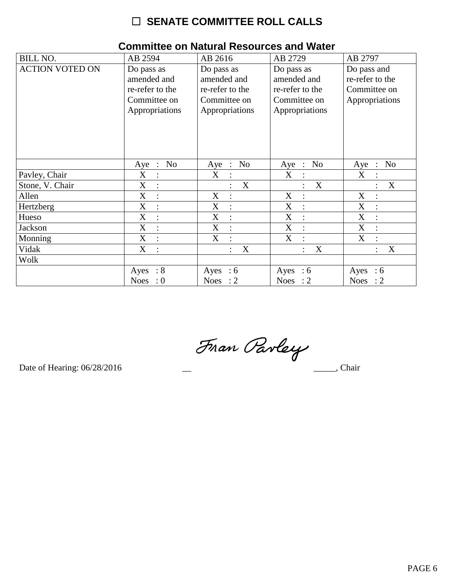| <b>BILL NO.</b>        | AB 2594                                                                        | AB 2616                                                                        | AB 2729                                                                        | AB 2797                                                          |
|------------------------|--------------------------------------------------------------------------------|--------------------------------------------------------------------------------|--------------------------------------------------------------------------------|------------------------------------------------------------------|
| <b>ACTION VOTED ON</b> | Do pass as<br>amended and<br>re-refer to the<br>Committee on<br>Appropriations | Do pass as<br>amended and<br>re-refer to the<br>Committee on<br>Appropriations | Do pass as<br>amended and<br>re-refer to the<br>Committee on<br>Appropriations | Do pass and<br>re-refer to the<br>Committee on<br>Appropriations |
|                        | No<br>$Aye$ :                                                                  | N <sub>o</sub><br>Aye :                                                        | Aye : No                                                                       | N <sub>o</sub><br>Aye<br>$\mathbb{R}^2$                          |
| Pavley, Chair          | X<br>$\ddot{\cdot}$                                                            | X<br>$\ddot{\cdot}$                                                            | X                                                                              | X                                                                |
| Stone, V. Chair        | X                                                                              | X                                                                              | X                                                                              | X                                                                |
| Allen                  | X<br>$\ddot{\cdot}$                                                            | X<br>$\ddot{\cdot}$                                                            | X<br>÷                                                                         | X<br>$\ddot{\cdot}$                                              |
| Hertzberg              | $\mathbf X$<br>$\ddot{\cdot}$                                                  | $\boldsymbol{\mathrm{X}}$<br>$\ddot{\cdot}$                                    | X<br>$\ddot{\cdot}$                                                            | $\boldsymbol{X}$                                                 |
| Hueso                  | X<br>$\ddot{\cdot}$                                                            | X<br>÷                                                                         | X<br>$\ddot{\cdot}$                                                            | X                                                                |
| Jackson                | X<br>$\ddot{\cdot}$                                                            | X<br>$\ddot{\cdot}$                                                            | X<br>$\mathbb{R}^2$                                                            | X<br>$\ddot{\cdot}$                                              |
| Monning                | X<br>$\ddot{\cdot}$                                                            | X<br>$\ddot{\cdot}$                                                            | X<br>$\ddot{\cdot}$                                                            | X<br>$\ddot{\cdot}$                                              |
| Vidak                  | X                                                                              | X<br>$\ddot{\cdot}$                                                            | X                                                                              | X                                                                |
| Wolk                   |                                                                                |                                                                                |                                                                                |                                                                  |
|                        | Ayes : $8$                                                                     | Ayes : $6$                                                                     | Ayes : $6$                                                                     | Ayes<br>$\therefore$ 6                                           |
|                        | <b>Noes</b><br>$\cdot 0$                                                       | Noes : $2$                                                                     | Noes : $2$                                                                     | <b>Noes</b><br>$\therefore$ 2                                    |

### **Committee on Natural Resources and Water**

Fran Parley

Date of Hearing: 06/28/2016

 $\frac{1}{\sqrt{1-\frac{1}{2}}\sqrt{1-\frac{1}{2}}\left(\frac{1}{2}-\frac{1}{2}\right)}$